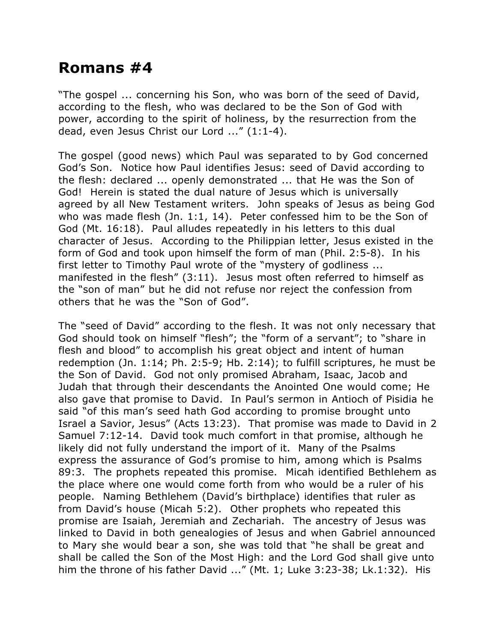## **Romans #4**

"The gospel ... concerning his Son, who was born of the seed of David, according to the flesh, who was declared to be the Son of God with power, according to the spirit of holiness, by the resurrection from the dead, even Jesus Christ our Lord ..." (1:1-4).

The gospel (good news) which Paul was separated to by God concerned God's Son. Notice how Paul identifies Jesus: seed of David according to the flesh: declared ... openly demonstrated ... that He was the Son of God! Herein is stated the dual nature of Jesus which is universally agreed by all New Testament writers. John speaks of Jesus as being God who was made flesh (Jn. 1:1, 14). Peter confessed him to be the Son of God (Mt. 16:18). Paul alludes repeatedly in his letters to this dual character of Jesus. According to the Philippian letter, Jesus existed in the form of God and took upon himself the form of man (Phil. 2:5-8). In his first letter to Timothy Paul wrote of the "mystery of godliness ... manifested in the flesh" (3:11). Jesus most often referred to himself as the "son of man" but he did not refuse nor reject the confession from others that he was the "Son of God".

The "seed of David" according to the flesh. It was not only necessary that God should took on himself "flesh"; the "form of a servant"; to "share in flesh and blood" to accomplish his great object and intent of human redemption (Jn. 1:14; Ph. 2:5-9; Hb. 2:14); to fulfill scriptures, he must be the Son of David. God not only promised Abraham, Isaac, Jacob and Judah that through their descendants the Anointed One would come; He also gave that promise to David. In Paul's sermon in Antioch of Pisidia he said "of this man's seed hath God according to promise brought unto Israel a Savior, Jesus" (Acts 13:23). That promise was made to David in 2 Samuel 7:12-14. David took much comfort in that promise, although he likely did not fully understand the import of it. Many of the Psalms express the assurance of God's promise to him, among which is Psalms 89:3. The prophets repeated this promise. Micah identified Bethlehem as the place where one would come forth from who would be a ruler of his people. Naming Bethlehem (David's birthplace) identifies that ruler as from David's house (Micah 5:2). Other prophets who repeated this promise are Isaiah, Jeremiah and Zechariah. The ancestry of Jesus was linked to David in both genealogies of Jesus and when Gabriel announced to Mary she would bear a son, she was told that "he shall be great and shall be called the Son of the Most High: and the Lord God shall give unto him the throne of his father David ..." (Mt. 1; Luke 3:23-38; Lk.1:32). His